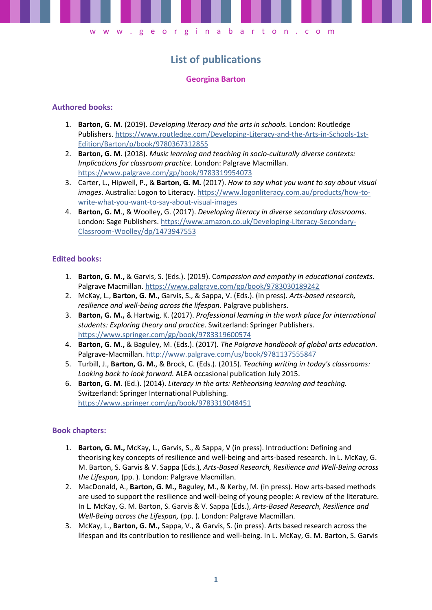# **List of publications**

# **Georgina Barton**

# **Authored books:**

- 1. **Barton, G. M.** (2019). *Developing literacy and the arts in schools.* London: Routledge Publishers. [https://www.routledge.com/Developing-Literacy-and-the-Arts-in-Schools-1st-](https://www.routledge.com/Developing-Literacy-and-the-Arts-in-Schools-1st-Edition/Barton/p/book/9780367312855)[Edition/Barton/p/book/9780367312855](https://www.routledge.com/Developing-Literacy-and-the-Arts-in-Schools-1st-Edition/Barton/p/book/9780367312855)
- 2. **Barton, G. M.** (2018). *Music learning and teaching in socio-culturally diverse contexts: Implications for classroom practice*. London: Palgrave Macmillan. <https://www.palgrave.com/gp/book/9783319954073>
- 3. Carter, L., Hipwell, P., & **Barton, G. M.** (2017). *How to say what you want to say about visual images*. Australia: Logon to Literacy. [https://www.logonliteracy.com.au/products/how-to](https://www.logonliteracy.com.au/products/how-to-write-what-you-want-to-say-about-visual-images)[write-what-you-want-to-say-about-visual-images](https://www.logonliteracy.com.au/products/how-to-write-what-you-want-to-say-about-visual-images)
- 4. **Barton, G. M**., & Woolley, G. (2017). *Developing literacy in diverse secondary classrooms*. London: Sage Publishers. [https://www.amazon.co.uk/Developing-Literacy-Secondary-](https://www.amazon.co.uk/Developing-Literacy-Secondary-Classroom-Woolley/dp/1473947553)[Classroom-Woolley/dp/1473947553](https://www.amazon.co.uk/Developing-Literacy-Secondary-Classroom-Woolley/dp/1473947553)

# **Edited books:**

- 1. **Barton, G. M.,** & Garvis, S. (Eds.). (2019). C*ompassion and empathy in educational contexts*. Palgrave Macmillan.<https://www.palgrave.com/gp/book/9783030189242>
- 2. McKay, L., **Barton, G. M.,** Garvis, S., & Sappa, V. (Eds.). (in press). *Arts-based research, resilience and well-being across the lifespan.* Palgrave publishers.
- 3. **Barton, G. M.,** & Hartwig, K. (2017). *Professional learning in the work place for international students: Exploring theory and practice*. Switzerland: Springer Publishers. <https://www.springer.com/gp/book/9783319600574>
- 4. **Barton, G. M.,** & Baguley, M. (Eds.). (2017)*. The Palgrave handbook of global arts education*. Palgrave-Macmillan. <http://www.palgrave.com/us/book/9781137555847>
- 5. Turbill, J., **Barton, G. M.**, & Brock, C. (Eds.). (2015). *Teaching writing in today's classrooms: Looking back to look forward.* ALEA occasional publication July 2015.
- 6. **Barton, G. M.** (Ed.). (2014). *Literacy in the arts: Retheorising learning and teaching.*  Switzerland: Springer International Publishing. <https://www.springer.com/gp/book/9783319048451>

# **Book chapters:**

- 1. **Barton, G. M.,** McKay, L., Garvis, S., & Sappa, V (in press). Introduction: Defining and theorising key concepts of resilience and well-being and arts-based research. In L. McKay, G. M. Barton, S. Garvis & V. Sappa (Eds.), *Arts-Based Research, Resilience and Well-Being across the Lifespan,* (pp. )*.* London: Palgrave Macmillan.
- 2. MacDonald, A., **Barton, G. M.,** Baguley, M., & Kerby, M. (in press). How arts-based methods are used to support the resilience and well-being of young people: A review of the literature. In L. McKay, G. M. Barton, S. Garvis & V. Sappa (Eds.), *Arts-Based Research, Resilience and Well-Being across the Lifespan,* (pp. )*.* London: Palgrave Macmillan.
- 3. McKay, L., **Barton, G. M.,** Sappa, V., & Garvis, S. (in press). Arts based research across the lifespan and its contribution to resilience and well-being. In L. McKay, G. M. Barton, S. Garvis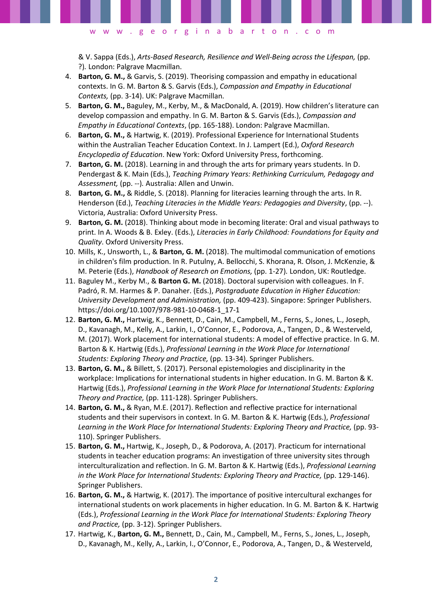& V. Sappa (Eds.), *Arts-Based Research, Resilience and Well-Being across the Lifespan,* (pp. ?)*.* London: Palgrave Macmillan.

- 4. **Barton, G. M.,** & Garvis, S. (2019). Theorising compassion and empathy in educational contexts. In G. M. Barton & S. Garvis (Eds.), *Compassion and Empathy in Educational Contexts,* (pp. 3-14). UK: Palgrave Macmillan.
- 5. **Barton, G. M.,** Baguley, M., Kerby, M., & MacDonald, A. (2019). How children's literature can develop compassion and empathy. In G. M. Barton & S. Garvis (Eds.), *Compassion and Empathy in Educational Contexts*, (pp. 165-188). London: Palgrave Macmillan.
- 6. **Barton, G. M.,** & Hartwig, K. (2019). Professional Experience for International Students within the Australian Teacher Education Context. In J. Lampert (Ed.), *Oxford Research Encyclopedia of Education*. New York: Oxford University Press, forthcoming.
- 7. **Barton, G. M.** (2018). Learning in and through the arts for primary years students. In D. Pendergast & K. Main (Eds.), *Teaching Primary Years: Rethinking Curriculum, Pedagogy and Assessment,* (pp. --)*.* Australia: Allen and Unwin.
- 8. **Barton, G. M.,** & Riddle, S. (2018). Planning for literacies learning through the arts. In R. Henderson (Ed.), *Teaching Literacies in the Middle Years: Pedagogies and Diversity*, (pp. --). Victoria, Australia: Oxford University Press.
- 9. **Barton, G. M.** (2018). Thinking about mode in becoming literate: Oral and visual pathways to print. In A. Woods & B. Exley. (Eds.), *Literacies in Early Childhood: Foundations for Equity and Quality*. Oxford University Press.
- 10. Mills, K., Unsworth, L., & **Barton, G. M.** (2018). The multimodal communication of emotions in children's film production. In R. Putulny, A. Bellocchi, S. Khorana, R. Olson, J. McKenzie, & M. Peterie (Eds.), *Handbook of Research on Emotions,* (pp. 1-27)*.* London, UK: Routledge.
- 11. Baguley M., Kerby M., & **Barton G. M.** (2018). Doctoral supervision with colleagues. In F. Padró, R. M. Harmes & P. Danaher. (Eds.), *Postgraduate Education in Higher Education: University Development and Administration,* (pp. 409-423). Singapore: Springer Publishers. [https://doi.org/10.1007/978-981-10-0468-1\\_17-1](https://doi.org/10.1007/978-981-10-0468-1_17-1)
- 12. **Barton, G. M.,** Hartwig, K., Bennett, D., Cain, M., Campbell, M., Ferns, S., Jones, L., Joseph, D., Kavanagh, M., Kelly, A., Larkin, I., O'Connor, E., Podorova, A., Tangen, D., & Westerveld, M. (2017). Work placement for international students: A model of effective practice. In G. M. Barton & K. Hartwig (Eds.), *Professional Learning in the Work Place for International Students: Exploring Theory and Practice,* (pp. 13-34). Springer Publishers.
- 13. **Barton, G. M.,** & Billett, S. (2017). Personal epistemologies and disciplinarity in the workplace: Implications for international students in higher education. In G. M. Barton & K. Hartwig (Eds.), *Professional Learning in the Work Place for International Students: Exploring Theory and Practice,* (pp. 111-128). Springer Publishers.
- 14. **Barton, G. M.,** & Ryan, M.E. (2017). Reflection and reflective practice for international students and their supervisors in context. In G. M. Barton & K. Hartwig (Eds.), *Professional*  Learning in the Work Place for International Students: Exploring Theory and Practice, (pp. 93-110). Springer Publishers.
- 15. **Barton, G. M.,** Hartwig, K., Joseph, D., & Podorova, A. (2017). Practicum for international students in teacher education programs: An investigation of three university sites through interculturalization and reflection. In G. M. Barton & K. Hartwig (Eds.), *Professional Learning*  in the Work Place for International Students: Exploring Theory and Practice, (pp. 129-146). Springer Publishers.
- 16. **Barton, G. M.,** & Hartwig, K. (2017). The importance of positive intercultural exchanges for international students on work placements in higher education. In G. M. Barton & K. Hartwig (Eds.), *Professional Learning in the Work Place for International Students: Exploring Theory and Practice,* (pp. 3-12). Springer Publishers.
- 17. Hartwig, K., **Barton, G. M.,** Bennett, D., Cain, M., Campbell, M., Ferns, S., Jones, L., Joseph, D., Kavanagh, M., Kelly, A., Larkin, I., O'Connor, E., Podorova, A., Tangen, D., & Westerveld,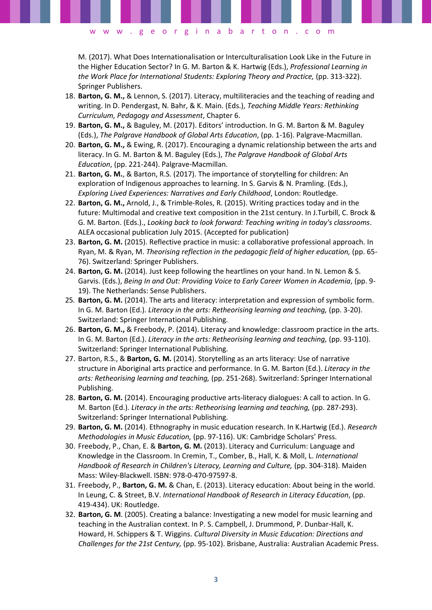M. (2017). What Does Internationalisation or Interculturalisation Look Like in the Future in the Higher Education Sector? In G. M. Barton & K. Hartwig (Eds.), *Professional Learning in the Work Place for International Students: Exploring Theory and Practice, (pp. 313-322).* Springer Publishers.

- 18. **Barton, G. M.,** & Lennon, S. (2017). Literacy, multiliteracies and the teaching of reading and writing. In D. Pendergast, N. Bahr, & K. Main. (Eds.), *Teaching Middle Years: Rethinking Curriculum, Pedagogy and Assessment*, Chapter 6.
- 19. **Barton, G. M.,** & Baguley, M. (2017). Editors' introduction. In G. M. Barton & M. Baguley (Eds.), *The Palgrave Handbook of Global Arts Education*, (pp. 1-16). Palgrave-Macmillan.
- 20. **Barton, G. M.,** & Ewing, R. (2017). Encouraging a dynamic relationship between the arts and literacy. In G. M. Barton & M. Baguley (Eds.), *The Palgrave Handbook of Global Arts Education*, (pp. 221-244). Palgrave-Macmillan.
- 21. **Barton, G. M.**, & Barton, R.S. (2017). The importance of storytelling for children: An exploration of Indigenous approaches to learning. In S. Garvis & N. Pramling. (Eds.), *Exploring Lived Experiences: Narratives and Early Childhood*, London: Routledge.
- 22. **Barton, G. M.,** Arnold, J., & Trimble-Roles, R. (2015). Writing practices today and in the future: Multimodal and creative text composition in the 21st century. In J.Turbill, C. Brock & G. M. Barton. (Eds.)., *Looking back to look forward: Teaching writing in today's classrooms*. ALEA occasional publication July 2015. (Accepted for publication)
- 23. **Barton, G. M.** (2015). Reflective practice in music: a collaborative professional approach. In Ryan, M. & Ryan, M. *Theorising reflection in the pedagogic field of higher education,* (pp. 65- 76). Switzerland: Springer Publishers.
- 24. **Barton, G. M.** (2014). Just keep following the heartlines on your hand. In N. Lemon & S. Garvis. (Eds.), *Being In and Out: Providing Voice to Early Career Women in Academia*, (pp. 9- 19). The Netherlands: Sense Publishers.
- 25. **Barton, G. M.** (2014). The arts and literacy: interpretation and expression of symbolic form. In G. M. Barton (Ed.). *Literacy in the arts: Retheorising learning and teaching, (pp. 3-20)*. Switzerland: Springer International Publishing.
- 26. **Barton, G. M.,** & Freebody, P. (2014). Literacy and knowledge: classroom practice in the arts. In G. M. Barton (Ed.). *Literacy in the arts: Retheorising learning and teaching,* (pp. 93-110). Switzerland: Springer International Publishing.
- 27. Barton, R.S., & **Barton, G. M.** (2014). Storytelling as an arts literacy: Use of narrative structure in Aboriginal arts practice and performance. In G. M. Barton (Ed.). *Literacy in the arts: Retheorising learning and teaching,* (pp. 251-268). Switzerland: Springer International Publishing.
- 28. **Barton, G. M.** (2014). Encouraging productive arts-literacy dialogues: A call to action. In G. M. Barton (Ed.). *Literacy in the arts: Retheorising learning and teaching,* (pp. 287-293). Switzerland: Springer International Publishing.
- 29. **Barton, G. M.** (2014). Ethnography in music education research. In K.Hartwig (Ed.). *Research Methodologies in Music Education,* (pp. 97-116). UK: Cambridge Scholars' Press.
- 30. Freebody, P., Chan, E. & **Barton, G. M.** (2013). Literacy and Curriculum: Language and Knowledge in the Classroom. In Cremin, T., Comber, B., Hall, K. & Moll, L. *International Handbook of Research in Children's Literacy, Learning and Culture,* (pp. 304-318). Maiden Mass: Wiley-Blackwell. ISBN: 978-0-470-97597-8.
- 31. Freebody, P., **Barton, G. M.** & Chan, E. (2013). Literacy education: About being in the world. In Leung, C. & Street, B.V. *International Handbook of Research in Literacy Education*, (pp. 419-434). UK: Routledge.
- 32. **Barton, G. M**. (2005). Creating a balance: Investigating a new model for music learning and teaching in the Australian context. In P. S. Campbell, J. Drummond, P. Dunbar-Hall, K. Howard, H. Schippers & T. Wiggins. *Cultural Diversity in Music Education: Directions and Challenges for the 21st Century,* (pp. 95-102). Brisbane, Australia: Australian Academic Press.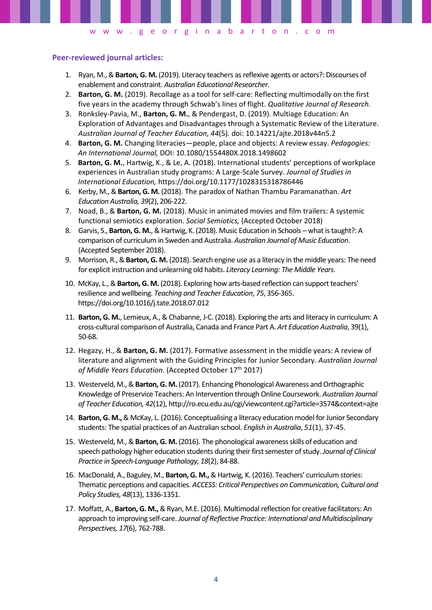#### **Peer-reviewed journal articles:**

- 1. Ryan, M., & **Barton, G. M.** (2019). Literacy teachers as reflexive agents or actors?: Discourses of enablement and constraint. *Australian Educational Researcher.*
- 2. **Barton, G. M.** (2019). Recollage as a tool for self-care: Reflecting multimodally on the first five years in the academy through Schwab's lines of flight. *Qualitative Journal of Research.*
- 3. Ronksley-Pavia, M., **Barton, G. M.**, & Pendergast, D. (2019). Multiage Education: An Exploration of Advantages and Disadvantages through a Systematic Review of the Literature. *Australian Journal of Teacher Education, 44*(5)*.* doi: 10.14221/ajte.2018v44n5.2
- 4. **Barton, G. M.** Changing literacies—people, place and objects: A review essay. *Pedagogies: An International Journal,* DOI: 10.1080/1554480X.2018.1498602
- 5. **Barton, G. M.**, Hartwig, K., & Le, A. (2018). International students' perceptions of workplace experiences in Australian study programs: A Large-Scale Survey. *Journal of Studies in International Education,* https://doi.org/10.1177/1028315318786446
- 6. Kerby, M., & **Barton, G. M.** (2018). The paradox of Nathan Thambu Paramanathan. *Art Education Australia, 39*(2), 206-222.
- 7. Noad, B., & **Barton, G. M.** (2018). Music in animated movies and film trailers: A systemic functional semiotics exploration. *Social Semiotics,* (Accepted October 2018)
- 8. Garvis, S., **Barton, G. M.**, & Hartwig, K. (2018). Music Education in Schools what is taught?: A comparison of curriculum in Sweden and Australia. *Australian Journal of Music Education*. (Accepted September 2018).
- 9. Morrison, R., &**Barton, G. M.** (2018). Search engine use as a literacy in the middle years: The need for explicit instruction and unlearning old habits. *Literacy Learning: The Middle Years*.
- 10. McKay, L., & **Barton, G. M.** (2018). Exploring how arts-based reflection can support teachers' resilience and wellbeing. *Teaching and Teacher Education*, *75*, 356-365. https://doi.org/10.1016/j.tate.2018.07.012
- 11. **Barton, G. M.**, Lemieux, A., & Chabanne, J-C. (2018). Exploring the arts and literacy in curriculum: A cross-cultural comparison of Australia, Canada and France Part A. *Art Education Australia*, 39(1), 50-68.
- 12. Hegazy, H., & **Barton, G. M.** (2017). Formative assessment in the middle years: A review of literature and alignment with the Guiding Principles for Junior Secondary. *Australian Journal*  of Middle Years Education. (Accepted October 17<sup>th</sup> 2017)
- 13. Westerveld, M., & **Barton, G. M.** (2017). Enhancing Phonological Awareness and Orthographic Knowledge of Preservice Teachers: An Intervention through Online Coursework. *Australian Journal of Teacher Education, 42*(12), http://ro.ecu.edu.au/cgi/viewcontent.cgi?article=3574&context=ajte
- 14. **Barton, G. M.,**& McKay, L. (2016). Conceptualising a literacy education model for Junior Secondary students: The spatial practices of an Australian school. *English in Australia*, *51*(1), 37-45.
- 15. Westerveld, M., & **Barton, G. M.** (2016). The phonological awareness skills of education and speech pathology higher education students during their first semester of study. *Journal of Clinical Practice in Speech-Language Pathology, 18*(2), 84-88.
- 16. MacDonald, A., Baguley, M., **Barton, G. M.,**& Hartwig, K. (2016). Teachers' curriculum stories: Thematic perceptions and capacities. *ACCESS: Critical Perspectives on Communication, Cultural and Policy Studies, 48*(13), 1336-1351.
- 17. Moffatt, A., **Barton, G. M.,**& Ryan, M.E. (2016). Multimodal reflection for creative facilitators: An approach to improving self-care. *Journal of Reflective Practice: International and Multidisciplinary Perspectives, 17*(6), 762-788.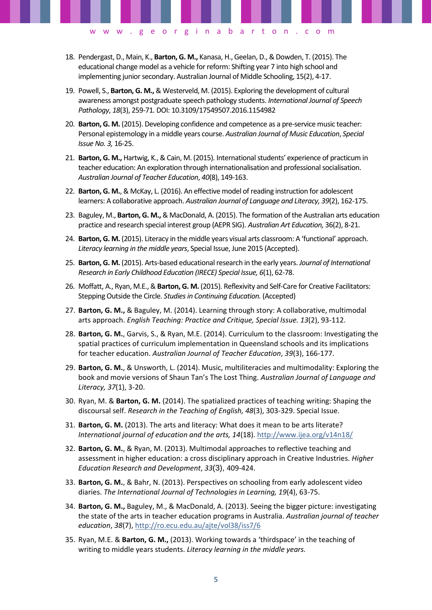18. Pendergast, D., Main, K., **Barton, G. M.,** Kanasa, H., Geelan, D., & Dowden, T. (2015). The educational change model as a vehicle for reform: Shifting year 7 into high school and implementing junior secondary. Australian Journal of Middle Schooling, 15(2), 4-17.

w w w . g e o r g i n a b a r t o n . c o m

- 19. Powell, S., **Barton, G. M.,**& Westerveld, M. (2015). Exploring the development of cultural awareness amongst postgraduate speech pathology students. *International Journal of Speech Pathology*, *18*(3), 259-71*.* DOI: 10.3109/17549507.2016.1154982
- 20. **Barton, G. M.** (2015). Developing confidence and competence as a pre-service music teacher: Personal epistemology in a middle years course. *Australian Journal of Music Education*, *Special Issue No. 3,* 16-25.
- 21. **Barton, G. M.,** Hartwig, K., & Cain, M. (2015). International students' experience of practicum in teacher education: An exploration through internationalisation and professional socialisation. *Australian Journal of Teacher Education*, *40*(8), 149-163.
- 22. **Barton, G. M.**, & McKay, L. (2016). An effective model of reading instruction for adolescent learners: A collaborative approach. *Australian Journal of Language and Literacy, 39*(2), 162-175.
- 23. Baguley, M., **Barton, G. M.,** & MacDonald, A. (2015). The formation of the Australian arts education practice and research special interest group (AEPR SIG). *Australian Art Education,* 36(2), 8-21.
- 24. **Barton, G. M.** (2015). Literacy in the middle years visual arts classroom: A 'functional' approach. *Literacy learning in the middle years*, Special Issue, June 2015 (Accepted).
- 25. **Barton, G. M.** (2015). Arts-based educational research in the early years. *Journal of International Research in Early Childhood Education (IRECE) Special Issue, 6*(1), 62-78.
- 26. Moffatt, A., Ryan, M.E., &**Barton, G. M.** (2015). Reflexivity and Self-Care for Creative Facilitators: Stepping Outside the Circle. *Studies in Continuing Education.* (Accepted)
- 27. **Barton, G. M.,** & Baguley, M. (2014). Learning through story: A collaborative, multimodal arts approach. *English Teaching: Practice and Critique, Special Issue. 13*(2), 93-112.
- 28. **Barton, G. M.**, Garvis, S., & Ryan, M.E. (2014). Curriculum to the classroom: Investigating the spatial practices of curriculum implementation in Queensland schools and its implications for teacher education. *Australian Journal of Teacher Education*, *39*(3), 166-177.
- 29. **Barton, G. M.**, & Unsworth, L. (2014). Music, multiliteracies and multimodality: Exploring the book and movie versions of Shaun Tan's The Lost Thing. *Australian Journal of Language and Literacy, 37*(1), 3-20.
- 30. Ryan, M. & **Barton, G. M.** (2014). The spatialized practices of teaching writing: Shaping the discoursal self. *Research in the Teaching of English, 48*(3), 303-329. Special Issue.
- 31. **Barton, G. M.** (2013). The arts and literacy: What does it mean to be arts literate? *International journal of education and the arts, 14*(18). <http://www.ijea.org/v14n18/>
- 32. **Barton, G. M.**, & Ryan, M. (2013). Multimodal approaches to reflective teaching and assessment in higher education: a cross disciplinary approach in Creative Industries. *Higher Education Research and Development*, *33*(3), 409-424.
- 33. **Barton, G. M.**, & Bahr, N. (2013). Perspectives on schooling from early adolescent video diaries. *The International Journal of Technologies in Learning, 19*(4), 63-75.
- 34. **Barton, G. M.,** Baguley, M., & MacDonald, A. (2013). Seeing the bigger picture: investigating the state of the arts in teacher education programs in Australia. *Australian journal of teacher education*, *38*(7),<http://ro.ecu.edu.au/ajte/vol38/iss7/6>
- 35. Ryan, M.E. & **Barton, G. M.,** (2013). Working towards a 'thirdspace' in the teaching of writing to middle years students. *Literacy learning in the middle years.*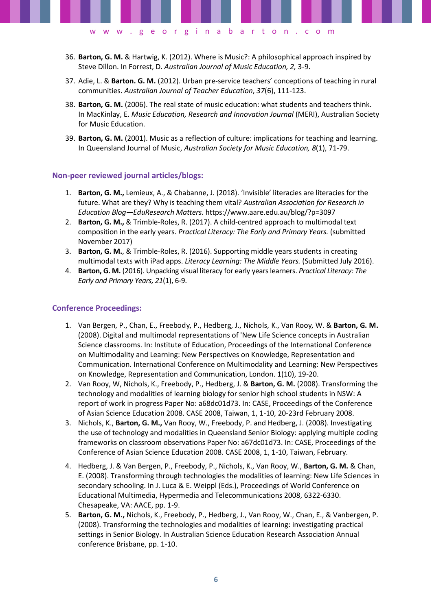36. **Barton, G. M.** & Hartwig, K. (2012). Where is Music?: A philosophical approach inspired by Steve Dillon. In Forrest, D. *Australian Journal of Music Education, 2,* 3-9.

w w w . g e o r g i n a b a r t o n . c o m

- 37. Adie, L. & **Barton. G. M.** (2012). Urban pre-service teachers' conceptions of teaching in rural communities. *Australian Journal of Teacher Education*, *37*(6), 111-123.
- 38. **Barton, G. M.** (2006). The real state of music education: what students and teachers think. In MacKinlay, E. *Music Education, Research and Innovation Journal* (MERI), Australian Society for Music Education.
- 39. **Barton, G. M.** (2001). Music as a reflection of culture: implications for teaching and learning. In Queensland Journal of Music, *Australian Society for Music Education, 8*(1), 71-79.

#### **Non-peer reviewed journal articles/blogs:**

- 1. **Barton, G. M.,** Lemieux, A., & Chabanne, J. (2018). 'Invisible' literacies are literacies for the future. What are they? Why is teaching them vital? *Australian Association for Research in Education Blog—EduResearch Matters*. https://www.aare.edu.au/blog/?p=3097
- 2. **Barton, G. M.,** & Trimble-Roles, R. (2017). A child-centred approach to multimodal text composition in the early years. *Practical Literacy: The Early and Primary Years.* (submitted November 2017)
- 3. **Barton, G. M.**, & Trimble-Roles, R. (2016). Supporting middle years students in creating multimodal texts with iPad apps. *Literacy Learning: The Middle Years.* (Submitted July 2016).
- 4. **Barton, G. M.** (2016). Unpacking visual literacy for early years learners. *Practical Literacy: The Early and Primary Years, 21*(1), 6-9.

#### **Conference Proceedings:**

- 1. Van Bergen, P., Chan, E., Freebody, P., Hedberg, J., Nichols, K., Van Rooy, W. & **Barton, G. M.**  (2008). Digital and multimodal representations of 'New Life Science concepts in Australian Science classrooms. In: Institute of Education, Proceedings of the International Conference on Multimodality and Learning: New Perspectives on Knowledge, Representation and Communication. International Conference on Multimodality and Learning: New Perspectives on Knowledge, Representation and Communication, London. 1(10), 19-20.
- 2. Van Rooy, W, Nichols, K., Freebody, P., Hedberg, J. & **Barton, G. M.** (2008). Transforming the technology and modalities of learning biology for senior high school students in NSW: A report of work in progress Paper No: a68dc01d73. In: CASE, Proceedings of the Conference of Asian Science Education 2008. CASE 2008, Taiwan, 1, 1-10, 20-23rd February 2008.
- 3. Nichols, K., **Barton, G. M.,** Van Rooy, W., Freebody, P. and Hedberg, J. (2008). Investigating the use of technology and modalities in Queensland Senior Biology: applying multiple coding frameworks on classroom observations Paper No: a67dc01d73. In: CASE, Proceedings of the Conference of Asian Science Education 2008. CASE 2008, 1, 1-10, Taiwan, February.
- 4. Hedberg, J. & Van Bergen, P., Freebody, P., Nichols, K., Van Rooy, W., **Barton, G. M.** & Chan, E. (2008). Transforming through technologies the modalities of learning: New Life Sciences in secondary schooling. In J. Luca & E. Weippl (Eds.), Proceedings of World Conference on Educational Multimedia, Hypermedia and Telecommunications 2008, 6322-6330. Chesapeake, VA: AACE, pp. 1-9.
- 5. **Barton, G. M.,** Nichols, K., Freebody, P., Hedberg, J., Van Rooy, W., Chan, E., & Vanbergen, P. (2008). Transforming the technologies and modalities of learning: investigating practical settings in Senior Biology. In Australian Science Education Research Association Annual conference Brisbane, pp. 1-10.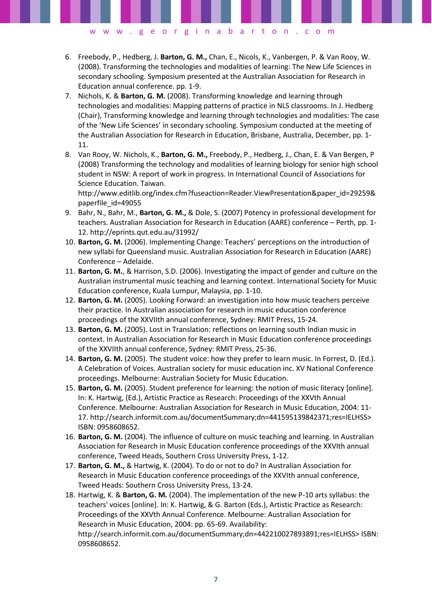- 6. Freebody, P., Hedberg, J. **Barton, G. M.,** Chan, E., Nicols, K., Vanbergen, P. & Van Rooy, W. (2008). Transforming the technologies and modalities of learning: The New Life Sciences in secondary schooling. Symposium presented at the Australian Association for Research in Education annual conference. pp. 1-9.
- 7. Nichols, K. & **Barton, G. M.** (2008). Transforming knowledge and learning through technologies and modalities: Mapping patterns of practice in NLS classrooms. In J. Hedberg (Chair), Transforming knowledge and learning through technologies and modalities: The case of the 'New Life Sciences' in secondary schooling. Symposium conducted at the meeting of the Australian Association for Research in Education, Brisbane, Australia, December, pp. 1- 11.
- 8. Van Rooy, W. Nichols, K., **Barton, G. M.,** Freebody, P., Hedberg, J., Chan, E. & Van Bergen, P (2008) Transforming the technology and modalities of learning biology for senior high school student in NSW: A report of work in progress. In International Council of Associations for Science Education. Taiwan.

http://www.editlib.org/index.cfm?fuseaction=Reader.ViewPresentation&paper\_id=29259& paperfile\_id=49055

- 9. Bahr, N., Bahr, M., **Barton, G. M.,** & Dole, S. (2007) Potency in professional development for teachers. Australian Association for Research in Education (AARE) conference – Perth, pp. 1- 12. http://eprints.qut.edu.au/31992/
- 10. **Barton, G. M.** (2006). Implementing Change: Teachers' perceptions on the introduction of new syllabi for Queensland music. Australian Association for Research in Education (AARE) Conference – Adelaide.
- 11. **Barton, G. M.**, & Harrison, S.D. (2006). Investigating the impact of gender and culture on the Australian instrumental music teaching and learning context. International Society for Music Education conference, Kuala Lumpur, Malaysia, pp. 1-10.
- 12. **Barton, G. M.** (2005). Looking Forward: an investigation into how music teachers perceive their practice. In Australian association for research in music education conference proceedings of the XXVIIth annual conference, Sydney: RMIT Press, 15-24.
- 13. **Barton, G. M.** (2005). Lost in Translation: reflections on learning south Indian music in context. In Australian Association for Research in Music Education conference proceedings of the XXVIIth annual conference, Sydney: RMIT Press, 25-36.
- 14. **Barton, G. M.** (2005). The student voice: how they prefer to learn music. In Forrest, D. (Ed.). A Celebration of Voices. Australian society for music education inc. XV National Conference proceedings. Melbourne: Australian Society for Music Education.
- 15. **Barton, G. M.** (2005). Student preference for learning: the notion of music literacy [online]. In: K. Hartwig, (Ed.), Artistic Practice as Research: Proceedings of the XXVth Annual Conference. Melbourne: Australian Association for Research in Music Education, 2004: 11- 17. http://search.informit.com.au/documentSummary;dn=441595139842371;res=IELHSS> ISBN: 0958608652.
- 16. **Barton, G. M.** (2004). The influence of culture on music teaching and learning. In Australian Association for Research in Music Education conference proceedings of the XXVIth annual conference, Tweed Heads, Southern Cross University Press, 1-12.
- 17. **Barton, G. M.,** & Hartwig, K. (2004). To do or not to do? In Australian Association for Research in Music Education conference proceedings of the XXVIth annual conference, Tweed Heads: Southern Cross University Press, 13-24.
- 18. Hartwig, K. & **Barton, G. M.** (2004). The implementation of the new P-10 arts syllabus: the teachers' voices [online]. In: K. Hartwig, & G. Barton (Eds.), Artistic Practice as Research: Proceedings of the XXVth Annual Conference. Melbourne: Australian Association for Research in Music Education, 2004: pp. 65-69. Availability: http://search.informit.com.au/documentSummary;dn=442210027893891;res=IELHSS> ISBN: 0958608652.